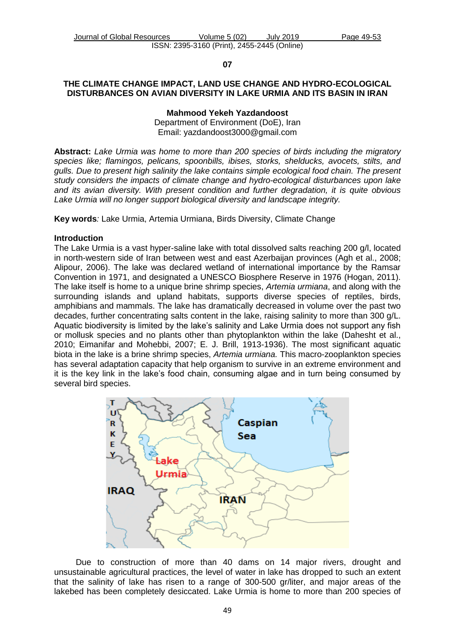#### **07**

### **THE CLIMATE CHANGE IMPACT, LAND USE CHANGE AND HYDRO-ECOLOGICAL DISTURBANCES ON AVIAN DIVERSITY IN LAKE URMIA AND ITS BASIN IN IRAN**

**Mahmood Yekeh Yazdandoost** Department of Environment (DoE), Iran Email: [yazdandoost3000@gmail.com](mailto:yazdandoost3000@gmail.com)

**Abstract:** *Lake Urmia was home to more than 200 species of birds including the migratory species like; flamingos, pelicans, spoonbills, ibises, storks, shelducks, avocets, stilts, and gulls. Due to present high salinity the lake contains simple ecological food chain. The present study considers the impacts of climate change and hydro-ecological disturbances upon lake and its avian diversity. With present condition and further degradation, it is quite obvious Lake Urmia will no longer support biological diversity and landscape integrity.*

**Key words***:* Lake Urmia, Artemia Urmiana, Birds Diversity, Climate Change

### **Introduction**

The Lake Urmia is a vast hyper-saline lake with total dissolved salts reaching 200 g/l, located in north-western side of Iran between west and east Azerbaijan provinces (Agh et al., 2008; Alipour, 2006). The lake was declared wetland of international importance by the Ramsar Convention in 1971, and designated a UNESCO Biosphere Reserve in 1976 (Hogan, 2011). The lake itself is home to a unique brine shrimp species, *Artemia urmiana*, and along with the surrounding islands and upland habitats, supports diverse species of reptiles, birds, amphibians and mammals. The lake has dramatically decreased in volume over the past two decades, further concentrating salts content in the lake, raising salinity to more than 300 g/L. Aquatic biodiversity is limited by the lake's salinity and Lake Urmia does not support any fish or mollusk species and no plants other than phytoplankton within the lake (Dahesht et al., 2010; Eimanifar and Mohebbi, 2007; E. J. Brill, 1913-1936). The most significant aquatic biota in the lake is a brine shrimp species, *Artemia urmiana.* This macro-zooplankton species has several adaptation capacity that help organism to survive in an extreme environment and it is the key link in the lake's food chain, consuming algae and in turn being consumed by several bird species.



Due to construction of more than 40 dams on 14 major rivers, drought and unsustainable agricultural practices, the level of water in lake has dropped to such an extent that the salinity of lake has risen to a range of 300-500 gr/liter, and major areas of the lakebed has been completely desiccated. Lake Urmia is home to more than 200 species of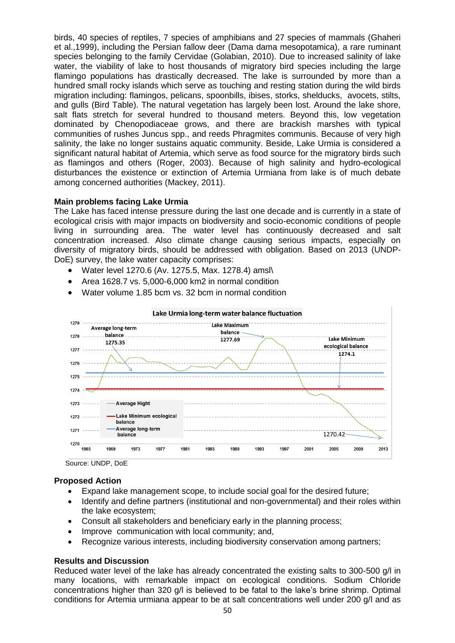birds, 40 species of reptiles, 7 species of amphibians and 27 species of mammals (Ghaheri et al.,1999), including the Persian fallow deer (Dama dama mesopotamica), a rare ruminant species belonging to the family Cervidae (Golabian, 2010). Due to increased salinity of lake water, the viability of lake to host thousands of migratory bird species including the large flamingo populations has drastically decreased. The lake is surrounded by more than a hundred small rocky islands which serve as touching and resting station during the wild birds migration including: flamingos, pelicans, spoonbills, ibises, storks, shelducks, avocets, stilts, and gulls (Bird Table). The natural vegetation has largely been lost. Around the lake shore, salt flats stretch for several hundred to thousand meters. Beyond this, low vegetation dominated by Chenopodiaceae grows, and there are brackish marshes with typical communities of rushes Juncus spp., and reeds Phragmites communis. Because of very high salinity, the lake no longer sustains aquatic community. Beside, Lake Urmia is considered a significant natural habitat of Artemia, which serve as food source for the migratory birds such as flamingos and others (Roger, 2003). Because of high salinity and hydro-ecological disturbances the existence or extinction of Artemia Urmiana from lake is of much debate among concerned authorities (Mackey, 2011).

### **Main problems facing Lake Urmia**

The Lake has faced intense pressure during the last one decade and is currently in a state of ecological crisis with major impacts on biodiversity and socio-economic conditions of people living in surrounding area. The water level has continuously decreased and salt concentration increased. Also climate change causing serious impacts, especially on diversity of migratory birds, should be addressed with obligation. Based on 2013 (UNDP-DoE) survey, the lake water capacity comprises:

- Water level 1270.6 (Av. 1275.5, Max. 1278.4) amsl\
- Area 1628.7 vs. 5,000-6,000 km2 in normal condition
- Water volume 1.85 bcm vs. 32 bcm in normal condition



Source: UNDP, DoE

## **Proposed Action**

- Expand lake management scope, to include social goal for the desired future;
- Identify and define partners (institutional and non-governmental) and their roles within the lake ecosystem;
- Consult all stakeholders and beneficiary early in the planning process;
- Improve communication with local community; and,
- Recognize various interests, including biodiversity conservation among partners;

## **Results and Discussion**

Reduced water level of the lake has already concentrated the existing salts to 300-500 g/l in many locations, with remarkable impact on ecological conditions. Sodium Chloride concentrations higher than 320 g/l is believed to be fatal to the lake's brine shrimp. Optimal conditions for Artemia urmiana appear to be at salt concentrations well under 200 g/l and as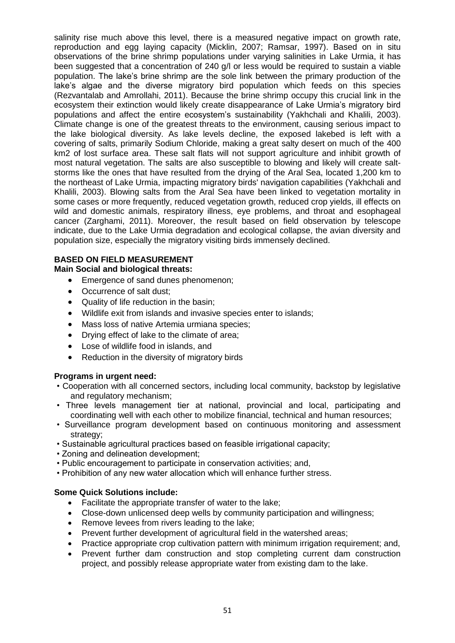salinity rise much above this level, there is a measured negative impact on growth rate, reproduction and egg laying capacity (Micklin, 2007; Ramsar, 1997). Based on in situ observations of the brine shrimp populations under varying salinities in Lake Urmia, it has been suggested that a concentration of 240 g/l or less would be required to sustain a viable population. The lake's brine shrimp are the sole link between the primary production of the lake's algae and the diverse migratory bird population which feeds on this species (Rezvantalab and Amrollahi, 2011). Because the brine shrimp occupy this crucial link in the ecosystem their extinction would likely create disappearance of Lake Urmia's migratory bird populations and affect the entire ecosystem's sustainability (Yakhchali and Khalili, 2003). Climate change is one of the greatest threats to the environment, causing serious impact to the lake biological diversity. As lake levels decline, the exposed lakebed is left with a covering of salts, primarily Sodium Chloride, making a great salty desert on much of the 400 km2 of lost surface area. These salt flats will not support agriculture and inhibit growth of most natural vegetation. The salts are also susceptible to blowing and likely will create saltstorms like the ones that have resulted from the drying of the Aral Sea, located 1,200 km to the northeast of Lake Urmia, impacting migratory birds' navigation capabilities (Yakhchali and Khalili, 2003). Blowing salts from the Aral Sea have been linked to vegetation mortality in some cases or more frequently, reduced vegetation growth, reduced crop yields, ill effects on wild and domestic animals, respiratory illness, eye problems, and throat and esophageal cancer (Zarghami, 2011). Moreover, the result based on field observation by telescope indicate, due to the Lake Urmia degradation and ecological collapse, the avian diversity and population size, especially the migratory visiting birds immensely declined.

# **BASED ON FIELD MEASUREMENT**

## **Main Social and biological threats:**

- **Emergence of sand dunes phenomenon;**
- Occurrence of salt dust;
- Quality of life reduction in the basin;
- Wildlife exit from islands and invasive species enter to islands;
- Mass loss of native Artemia urmiana species;
- Drying effect of lake to the climate of area;
- Lose of wildlife food in islands, and
- Reduction in the diversity of migratory birds

## **Programs in urgent need:**

- Cooperation with all concerned sectors, including local community, backstop by legislative and regulatory mechanism;
- Three levels management tier at national, provincial and local, participating and coordinating well with each other to mobilize financial, technical and human resources;
- Surveillance program development based on continuous monitoring and assessment strategy;
- Sustainable agricultural practices based on feasible irrigational capacity;
- Zoning and delineation development;
- Public encouragement to participate in conservation activities; and,
- Prohibition of any new water allocation which will enhance further stress.

## **Some Quick Solutions include:**

- Facilitate the appropriate transfer of water to the lake;
- Close-down unlicensed deep wells by community participation and willingness;
- Remove levees from rivers leading to the lake;
- Prevent further development of agricultural field in the watershed areas;
- Practice appropriate crop cultivation pattern with minimum irrigation requirement; and,
- Prevent further dam construction and stop completing current dam construction project, and possibly release appropriate water from existing dam to the lake.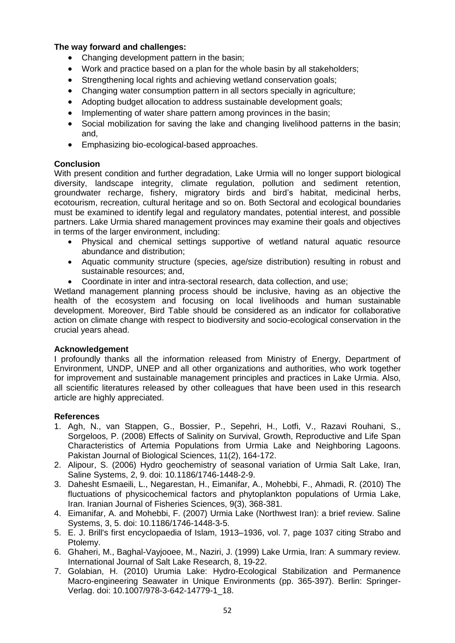## **The way forward and challenges:**

- Changing development pattern in the basin;
- Work and practice based on a plan for the whole basin by all stakeholders;
- Strengthening local rights and achieving wetland conservation goals;
- Changing water consumption pattern in all sectors specially in agriculture;
- Adopting budget allocation to address sustainable development goals;
- Implementing of water share pattern among provinces in the basin;
- Social mobilization for saving the lake and changing livelihood patterns in the basin; and,
- Emphasizing bio-ecological-based approaches.

## **Conclusion**

With present condition and further degradation, Lake Urmia will no longer support biological diversity, landscape integrity, climate regulation, pollution and sediment retention, groundwater recharge, fishery, migratory birds and bird's habitat, medicinal herbs, ecotourism, recreation, cultural heritage and so on. Both Sectoral and ecological boundaries must be examined to identify legal and regulatory mandates, potential interest, and possible partners. Lake Urmia shared management provinces may examine their goals and objectives in terms of the larger environment, including:

- Physical and chemical settings supportive of wetland natural aquatic resource abundance and distribution;
- Aquatic community structure (species, age/size distribution) resulting in robust and sustainable resources; and,
- Coordinate in inter and intra-sectoral research, data collection, and use;

Wetland management planning process should be inclusive, having as an objective the health of the ecosystem and focusing on local livelihoods and human sustainable development. Moreover, Bird Table should be considered as an indicator for collaborative action on climate change with respect to biodiversity and socio-ecological conservation in the crucial years ahead.

### **Acknowledgement**

I profoundly thanks all the information released from Ministry of Energy, Department of Environment, UNDP, UNEP and all other organizations and authorities, who work together for improvement and sustainable management principles and practices in Lake Urmia. Also, all scientific literatures released by other colleagues that have been used in this research article are highly appreciated.

## **References**

- 1. Agh, N., van Stappen, G., Bossier, P., Sepehri, H., Lotfi, V., Razavi Rouhani, S., Sorgeloos, P. (2008) Effects of Salinity on Survival, Growth, Reproductive and Life Span Characteristics of Artemia Populations from Urmia Lake and Neighboring Lagoons. Pakistan Journal of Biological Sciences, 11(2), 164-172.
- 2. Alipour, S. (2006) Hydro geochemistry of seasonal variation of Urmia Salt Lake, Iran, Saline Systems, 2, 9. doi: 10.1186/1746-1448-2-9.
- 3. Dahesht Esmaeili, L., Negarestan, H., Eimanifar, A., Mohebbi, F., Ahmadi, R. (2010) The fluctuations of physicochemical factors and phytoplankton populations of Urmia Lake, Iran. Iranian Journal of Fisheries Sciences, 9(3), 368-381.
- 4. Eimanifar, A. and Mohebbi, F. (2007) Urmia Lake (Northwest Iran): a brief review. Saline Systems, 3, 5. doi: 10.1186/1746-1448-3-5.
- 5. E. J. Brill's first encyclopaedia of Islam, 1913–1936, vol. 7, [page 1037](http://books.google.co.uk/books?id=wpM3AAAAIAAJ&pg=PA1037) citing [Strabo](http://en.wikipedia.org/wiki/Strabo) and [Ptolemy.](http://en.wikipedia.org/wiki/Ptolemy)
- 6. Ghaheri, M., Baghal-Vayjooee, M., Naziri, J. (1999) Lake Urmia, Iran: A summary review. International Journal of Salt Lake Research, 8, 19-22.
- 7. Golabian, H. (2010) Urumia Lake: Hydro-Ecological Stabilization and Permanence Macro-engineering Seawater in Unique Environments (pp. 365-397). Berlin: Springer-Verlag. doi: 10.1007/978-3-642-14779-1\_18.